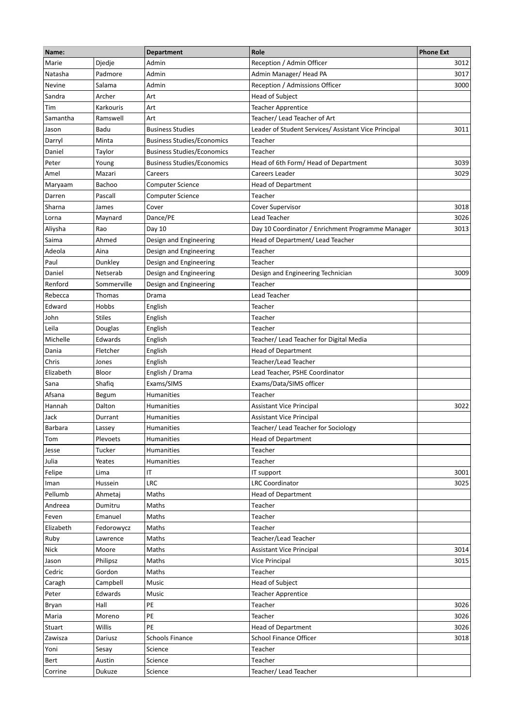| Name:       |             | <b>Department</b>                 | Role                                                 | <b>Phone Ext</b> |
|-------------|-------------|-----------------------------------|------------------------------------------------------|------------------|
| Marie       | Djedje      | Admin                             | Reception / Admin Officer                            | 3012             |
| Natasha     | Padmore     | Admin                             | Admin Manager/Head PA                                | 3017             |
| Nevine      | Salama      | Admin                             | Reception / Admissions Officer                       | 3000             |
| Sandra      | Archer      | Art                               | <b>Head of Subject</b>                               |                  |
| Tim         | Karkouris   | Art                               | <b>Teacher Apprentice</b>                            |                  |
| Samantha    | Ramswell    | Art                               | Teacher/ Lead Teacher of Art                         |                  |
| Jason       | Badu        | <b>Business Studies</b>           | Leader of Student Services/ Assistant Vice Principal | 3011             |
| Darryl      | Minta       | <b>Business Studies/Economics</b> | Teacher                                              |                  |
| Daniel      | Taylor      | <b>Business Studies/Economics</b> | Teacher                                              |                  |
| Peter       | Young       | <b>Business Studies/Economics</b> | Head of 6th Form/ Head of Department                 | 3039             |
| Amel        | Mazari      | Careers                           | Careers Leader                                       | 3029             |
| Maryaam     | Bachoo      | <b>Computer Science</b>           | Head of Department                                   |                  |
| Darren      | Pascall     | <b>Computer Science</b>           | Teacher                                              |                  |
| Sharna      | James       | Cover                             | Cover Supervisor                                     | 3018             |
| Lorna       | Maynard     | Dance/PE                          | Lead Teacher                                         | 3026             |
| Aliysha     | Rao         | Day 10                            | Day 10 Coordinator / Enrichment Programme Manager    | 3013             |
| Saima       | Ahmed       | Design and Engineering            | Head of Department/ Lead Teacher                     |                  |
| Adeola      | Aina        | Design and Engineering            | Teacher                                              |                  |
| Paul        | Dunkley     | Design and Engineering            | Teacher                                              |                  |
| Daniel      | Netserab    | Design and Engineering            | Design and Engineering Technician                    | 3009             |
| Renford     | Sommerville | Design and Engineering            | Teacher                                              |                  |
| Rebecca     | Thomas      | Drama                             | Lead Teacher                                         |                  |
| Edward      | Hobbs       | English                           | Teacher                                              |                  |
| John        | Stiles      | English                           | Teacher                                              |                  |
| Leila       | Douglas     | English                           | Teacher                                              |                  |
| Michelle    | Edwards     | English                           | Teacher/ Lead Teacher for Digital Media              |                  |
| Dania       | Fletcher    | English                           | <b>Head of Department</b>                            |                  |
| Chris       | Jones       | English                           | Teacher/Lead Teacher                                 |                  |
| Elizabeth   | Bloor       | English / Drama                   | Lead Teacher, PSHE Coordinator                       |                  |
| Sana        | Shafiq      | Exams/SIMS                        | Exams/Data/SIMS officer                              |                  |
| Afsana      | Begum       | <b>Humanities</b>                 | Teacher                                              |                  |
| Hannah      | Dalton      | Humanities                        | <b>Assistant Vice Principal</b>                      | 3022             |
| Jack        | Durrant     | Humanities                        | <b>Assistant Vice Principal</b>                      |                  |
| Barbara     | Lassey      | <b>Humanities</b>                 | Teacher/ Lead Teacher for Sociology                  |                  |
| Tom         | Plevoets    | Humanities                        | <b>Head of Department</b>                            |                  |
| Jesse       | Tucker      | <b>Humanities</b>                 | Teacher                                              |                  |
| Julia       | Yeates      | <b>Humanities</b>                 | Teacher                                              |                  |
| Felipe      | Lima        | ΙT                                | IT support                                           | 3001             |
| Iman        | Hussein     | LRC                               | <b>LRC Coordinator</b>                               | 3025             |
| Pellumb     | Ahmetaj     | Maths                             | <b>Head of Department</b>                            |                  |
| Andreea     | Dumitru     | Maths                             | Teacher                                              |                  |
| Feven       | Emanuel     | Maths                             | Teacher                                              |                  |
| Elizabeth   | Fedorowycz  | Maths                             | Teacher                                              |                  |
| Ruby        | Lawrence    | Maths                             | Teacher/Lead Teacher                                 |                  |
| <b>Nick</b> | Moore       | Maths                             | <b>Assistant Vice Principal</b>                      | 3014             |
| Jason       | Philipsz    | Maths                             | Vice Principal                                       | 3015             |
| Cedric      | Gordon      | Maths                             | Teacher                                              |                  |
| Caragh      | Campbell    | Music                             | <b>Head of Subject</b>                               |                  |
| Peter       | Edwards     | Music                             | <b>Teacher Apprentice</b>                            |                  |
| Bryan       | Hall        | PE                                | Teacher                                              | 3026             |
| Maria       | Moreno      | PE                                | Teacher                                              | 3026             |
| Stuart      | Willis      | PE                                | Head of Department                                   | 3026             |
| Zawisza     | Dariusz     | <b>Schools Finance</b>            | School Finance Officer                               | 3018             |
| Yoni        | Sesay       | Science                           | Teacher                                              |                  |
| Bert        | Austin      | Science                           | Teacher                                              |                  |
| Corrine     | Dukuze      | Science                           | Teacher/ Lead Teacher                                |                  |